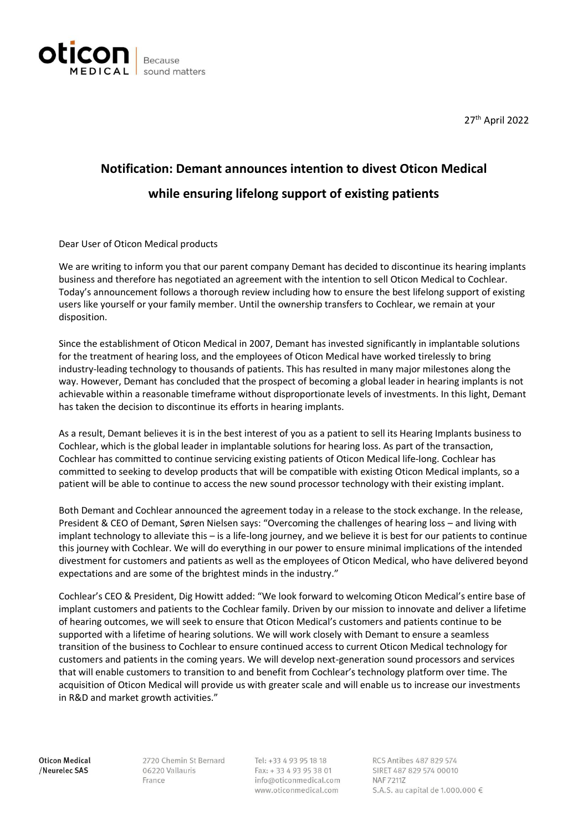

27th April 2022

## **Notification: Demant announces intention to divest Oticon Medical while ensuring lifelong support of existing patients**

Dear User of Oticon Medical products

We are writing to inform you that our parent company Demant has decided to discontinue its hearing implants business and therefore has negotiated an agreement with the intention to sell Oticon Medical to Cochlear. Today's announcement follows a thorough review including how to ensure the best lifelong support of existing users like yourself or your family member. Until the ownership transfers to Cochlear, we remain at your disposition.

Since the establishment of Oticon Medical in 2007, Demant has invested significantly in implantable solutions for the treatment of hearing loss, and the employees of Oticon Medical have worked tirelessly to bring industry-leading technology to thousands of patients. This has resulted in many major milestones along the way. However, Demant has concluded that the prospect of becoming a global leader in hearing implants is not achievable within a reasonable timeframe without disproportionate levels of investments. In this light, Demant has taken the decision to discontinue its efforts in hearing implants.

As a result, Demant believes it is in the best interest of you as a patient to sell its Hearing Implants business to Cochlear, which is the global leader in implantable solutions for hearing loss. As part of the transaction, Cochlear has committed to continue servicing existing patients of Oticon Medical life-long. Cochlear has committed to seeking to develop products that will be compatible with existing Oticon Medical implants, so a patient will be able to continue to access the new sound processor technology with their existing implant.

Both Demant and Cochlear announced the agreement today in a release to the stock exchange. In the release, President & CEO of Demant, Søren Nielsen says: "Overcoming the challenges of hearing loss – and living with implant technology to alleviate this – is a life-long journey, and we believe it is best for our patients to continue this journey with Cochlear. We will do everything in our power to ensure minimal implications of the intended divestment for customers and patients as well as the employees of Oticon Medical, who have delivered beyond expectations and are some of the brightest minds in the industry."

Cochlear's CEO & President, Dig Howitt added: "We look forward to welcoming Oticon Medical's entire base of implant customers and patients to the Cochlear family. Driven by our mission to innovate and deliver a lifetime of hearing outcomes, we will seek to ensure that Oticon Medical's customers and patients continue to be supported with a lifetime of hearing solutions. We will work closely with Demant to ensure a seamless transition of the business to Cochlear to ensure continued access to current Oticon Medical technology for customers and patients in the coming years. We will develop next-generation sound processors and services that will enable customers to transition to and benefit from Cochlear's technology platform over time. The acquisition of Oticon Medical will provide us with greater scale and will enable us to increase our investments in R&D and market growth activities."

Oticon Medical /Neurelec SAS

2720 Chemin St Bernard 06220 Vallauris France

Tel: +33 4 93 95 18 18 Fax: +33 4 93 95 38 01 info@oticonmedical.com www.oticonmedical.com

RCS Antibes 487 829 574 SIRET 487 829 574 00010 NAF 72117 S.A.S. au capital de 1.000.000 €